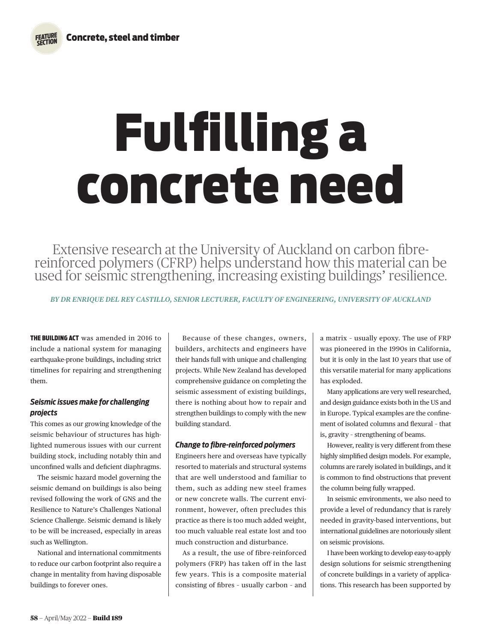# Fulfilling a concrete need

Extensive research at the University of Auckland on carbon fibre- reinforced polymers (CFRP) helps understand how this material can be used for seismic strengthening, increasing existing buildings' resilience.

*BY DR ENRIQUE DEL REY CASTILLO, SENIOR LECTURER, FACULTY OF ENGINEERING, UNIVERSITY OF AUCKLAND*

THE BUILDING ACT was amended in 2016 to include a national system for managing earthquake-prone buildings, including strict timelines for repairing and strengthening them.

# *Seismic issues make for challenging projects*

This comes as our growing knowledge of the seismic behaviour of structures has highlighted numerous issues with our current building stock, including notably thin and unconfined walls and deficient diaphragms.

The seismic hazard model governing the seismic demand on buildings is also being revised following the work of GNS and the Resilience to Nature's Challenges National Science Challenge. Seismic demand is likely to be will be increased, especially in areas such as Wellington.

National and international commitments to reduce our carbon footprint also require a change in mentality from having disposable buildings to forever ones.

Because of these changes, owners, builders, architects and engineers have their hands full with unique and challenging projects. While New Zealand has developed comprehensive guidance on completing the seismic assessment of existing buildings, there is nothing about how to repair and strengthen buildings to comply with the new building standard.

# *Change to fibre-reinforced polymers*

Engineers here and overseas have typically resorted to materials and structural systems that are well understood and familiar to them, such as adding new steel frames or new concrete walls. The current environment, however, often precludes this practice as there is too much added weight, too much valuable real estate lost and too much construction and disturbance.

As a result, the use of fibre-reinforced polymers (FRP) has taken off in the last few years. This is a composite material consisting of fibres – usually carbon – and a matrix – usually epoxy. The use of FRP was pioneered in the 1990s in California, but it is only in the last 10 years that use of this versatile material for many applications has exploded.

Many applications are very well researched, and design guidance exists both in the US and in Europe. Typical examples are the confinement of isolated columns and flexural – that is, gravity – strengthening of beams.

However, reality is very different from these highly simplified design models. For example, columns are rarely isolated in buildings, and it is common to find obstructions that prevent the column being fully wrapped.

In seismic environments, we also need to provide a level of redundancy that is rarely needed in gravity-based interventions, but international guidelines are notoriously silent on seismic provisions.

I have been working to develop easy-to-apply design solutions for seismic strengthening of concrete buildings in a variety of applications. This research has been supported by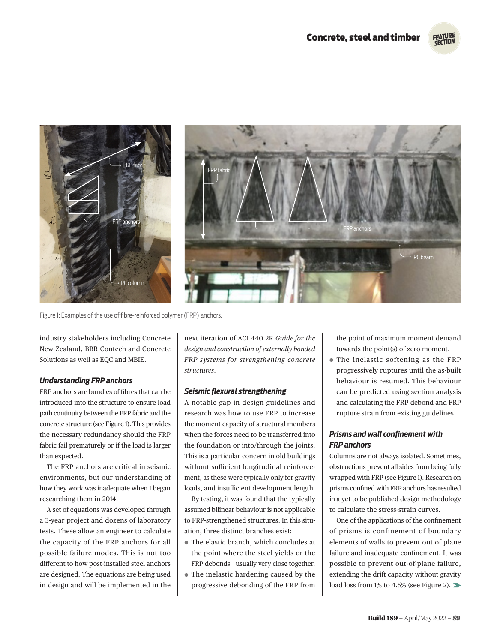*SECTION*



Figure 1: Examples of the use of fibre-reinforced polymer (FRP) anchors.

industry stakeholders including Concrete New Zealand, BBR Contech and Concrete Solutions as well as EQC and MBIE.

### *Understanding FRP anchors*

FRP anchors are bundles of fibres that can be introduced into the structure to ensure load path continuity between the FRP fabric and the concrete structure (see Figure 1). This provides the necessary redundancy should the FRP fabric fail prematurely or if the load is larger than expected.

The FRP anchors are critical in seismic environments, but our understanding of how they work was inadequate when I began researching them in 2014.

A set of equations was developed through a 3-year project and dozens of laboratory tests. These allow an engineer to calculate the capacity of the FRP anchors for all possible failure modes. This is not too different to how post-installed steel anchors are designed. The equations are being used in design and will be implemented in the next iteration of ACI 440.2R *Guide for the design and construction of externally bonded FRP systems for strengthening concrete structures*.

### *Seismic flexural strengthening*

A notable gap in design guidelines and research was how to use FRP to increase the moment capacity of structural members when the forces need to be transferred into the foundation or into/through the joints. This is a particular concern in old buildings without sufficient longitudinal reinforcement, as these were typically only for gravity loads, and insufficient development length.

By testing, it was found that the typically assumed bilinear behaviour is not applicable to FRP-strengthened structures. In this situation, three distinct branches exist:

- ¬ The elastic branch, which concludes at the point where the steel yields or the FRP debonds – usually very close together.
- ¬ The inelastic hardening caused by the progressive debonding of the FRP from

the point of maximum moment demand towards the point(s) of zero moment.

¬ The inelastic softening as the FRP progressively ruptures until the as-built behaviour is resumed. This behaviour can be predicted using section analysis and calculating the FRP debond and FRP rupture strain from existing guidelines.

## *Prisms and wall confinement with FRP anchors*

Columns are not always isolated. Sometimes, obstructions prevent all sides from being fully wrapped with FRP (see Figure 1). Research on prisms confined with FRP anchors has resulted in a yet to be published design methodology to calculate the stress-strain curves.

One of the applications of the confinement of prisms is confinement of boundary elements of walls to prevent out of plane failure and inadequate confinement. It was possible to prevent out-of-plane failure, extending the drift capacity without gravity load loss from 1% to 4.5% (see Figure 2).  $\blacktriangleright$